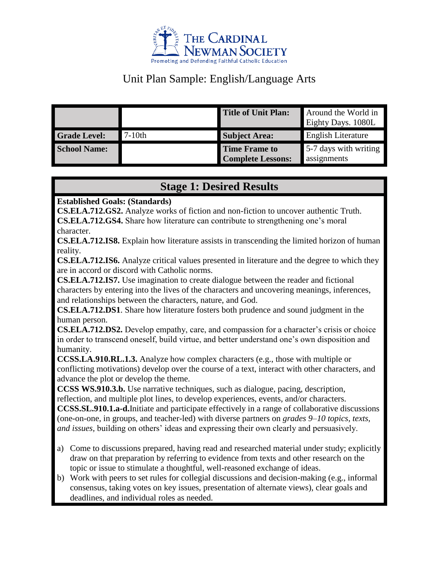

## Unit Plan Sample: English/Language Arts

|                     |           | <b>Title of Unit Plan:</b> | Around the World in<br>Eighty Days. 1080L |
|---------------------|-----------|----------------------------|-------------------------------------------|
| <b>Grade Level:</b> | $7-10$ th | <b>Subject Area:</b>       | <b>English Literature</b>                 |
| <b>School Name:</b> |           | <b>Time Frame to</b>       | 5-7 days with writing                     |
|                     |           | <b>Complete Lessons:</b>   | assignments                               |

## **Stage 1: Desired Results**

**Established Goals: (Standards)**

**CS.ELA.712.GS2.** Analyze works of fiction and non-fiction to uncover authentic Truth. **CS.ELA.712.GS4.** Share how literature can contribute to strengthening one's moral character.

**CS.ELA.712.IS8.** Explain how literature assists in transcending the limited horizon of human reality.

**CS.ELA.712.IS6.** Analyze critical values presented in literature and the degree to which they are in accord or discord with Catholic norms.

**CS.ELA.712.IS7.** Use imagination to create dialogue between the reader and fictional characters by entering into the lives of the characters and uncovering meanings, inferences, and relationships between the characters, nature, and God.

**CS.ELA.712.DS1**. Share how literature fosters both prudence and sound judgment in the human person.

**CS.ELA.712.DS2.** Develop empathy, care, and compassion for a character's crisis or choice in order to transcend oneself, build virtue, and better understand one's own disposition and humanity.

**CCSS.LA.910.RL.1.3.** Analyze how complex characters (e.g., those with multiple or conflicting motivations) develop over the course of a text, interact with other characters, and advance the plot or develop the theme.

**CCSS WS.910.3.b.** Use narrative techniques, such as dialogue, pacing, description, reflection, and multiple plot lines, to develop experiences, events, and/or characters. **CCSS.SL.910.1.a-d.**Initiate and participate effectively in a range of collaborative discussions

(one-on-one, in groups, and teacher-led) with diverse partners on *grades 9–10 topics, texts, and issues,* building on others' ideas and expressing their own clearly and persuasively.

- a) Come to discussions prepared, having read and researched material under study; explicitly draw on that preparation by referring to evidence from texts and other research on the topic or issue to stimulate a thoughtful, well-reasoned exchange of ideas.
- b) Work with peers to set rules for collegial discussions and decision-making (e.g., informal consensus, taking votes on key issues, presentation of alternate views), clear goals and deadlines, and individual roles as needed.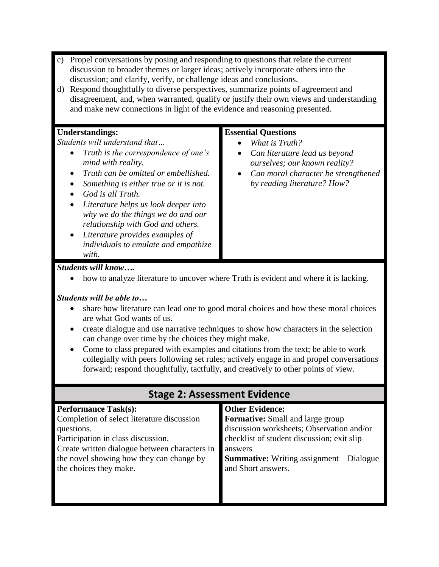- c) Propel conversations by posing and responding to questions that relate the current discussion to broader themes or larger ideas; actively incorporate others into the discussion; and clarify, verify, or challenge ideas and conclusions.
- d) Respond thoughtfully to diverse perspectives, summarize points of agreement and disagreement, and, when warranted, qualify or justify their own views and understanding and make new connections in light of the evidence and reasoning presented.

### **Understandings:**

*Students will understand that…*

- *Truth is the correspondence of one's mind with reality.*
- *Truth can be omitted or embellished.*
- *Something is either true or it is not.*
- *God is all Truth.*
- *Literature helps us look deeper into why we do the things we do and our relationship with God and others.*
- *Literature provides examples of individuals to emulate and empathize with.*

#### **Essential Questions**

- *What is Truth?*
- *Can literature lead us beyond ourselves; our known reality?*
- *Can moral character be strengthened by reading literature? How?*

### *Students will know….*

how to analyze literature to uncover where Truth is evident and where it is lacking.

### *Students will be able to…*

- share how literature can lead one to good moral choices and how these moral choices are what God wants of us.
- create dialogue and use narrative techniques to show how characters in the selection can change over time by the choices they might make.
- Come to class prepared with examples and citations from the text; be able to work collegially with peers following set rules; actively engage in and propel conversations forward; respond thoughtfully, tactfully, and creatively to other points of view.

| Stage 2: Assessment Evidence                  |                                                 |  |  |  |  |  |  |  |
|-----------------------------------------------|-------------------------------------------------|--|--|--|--|--|--|--|
| <b>Performance Task(s):</b>                   | <b>Other Evidence:</b>                          |  |  |  |  |  |  |  |
| Completion of select literature discussion    | <b>Formative:</b> Small and large group         |  |  |  |  |  |  |  |
| questions.                                    | discussion worksheets; Observation and/or       |  |  |  |  |  |  |  |
| Participation in class discussion.            | checklist of student discussion; exit slip      |  |  |  |  |  |  |  |
| Create written dialogue between characters in | answers                                         |  |  |  |  |  |  |  |
| the novel showing how they can change by      | <b>Summative:</b> Writing assignment – Dialogue |  |  |  |  |  |  |  |
| the choices they make.                        | and Short answers.                              |  |  |  |  |  |  |  |
|                                               |                                                 |  |  |  |  |  |  |  |
|                                               |                                                 |  |  |  |  |  |  |  |
|                                               |                                                 |  |  |  |  |  |  |  |

## **Stage 2: Assessment Evidence**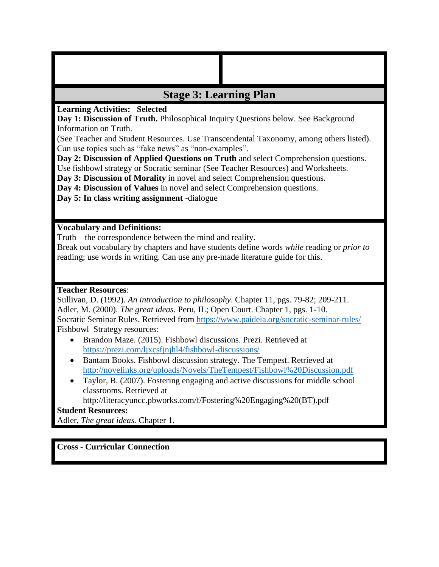## **Stage 3: Learning Plan**

## **Learning Activities: Selected**

**Day 1: Discussion of Truth.** Philosophical Inquiry Questions below. See Background Information on Truth.

(See Teacher and Student Resources. Use Transcendental Taxonomy, among others listed). Can use topics such as "fake news" as "non-examples".

**Day 2: Discussion of Applied Questions on Truth** and select Comprehension questions.

Use fishbowl strategy or Socratic seminar (See Teacher Resources) and Worksheets.

**Day 3: Discussion of Morality** in novel and select Comprehension questions.

**Day 4: Discussion of Values** in novel and select Comprehension questions.

**Day 5: In class writing assignment** -dialogue

## **Vocabulary and Definitions:**

Truth – the correspondence between the mind and reality.

Break out vocabulary by chapters and have students define words *while* reading or *prior to* reading; use words in writing. Can use any pre-made literature guide for this.

## **Teacher Resources**:

Sullivan, D. (1992). *An introduction to philosophy*. Chapter 11, pgs. 79-82; 209-211. Adler, M. (2000). *The great ideas.* Peru, IL; Open Court. Chapter 1, pgs. 1-10. Socratic Seminar Rules. Retrieved from<https://www.paideia.org/socratic-seminar-rules/> Fishbowl Strategy resources:

- Brandon Maze. (2015). Fishbowl discussions. Prezi. Retrieved at <https://prezi.com/ljxcsfjnjhl4/fishbowl-discussions/>
- Bantam Books. Fishbowl discussion strategy. The Tempest. Retrieved at <http://novelinks.org/uploads/Novels/TheTempest/Fishbowl%20Discussion.pdf>
- Taylor, B. (2007). Fostering engaging and active discussions for middle school classrooms. Retrieved at

http://literacyuncc.pbworks.com/f/Fostering%20Engaging%20(BT).pdf

## **Student Resources:**

Adler, *The great ideas.* Chapter 1.

**Cross - Curricular Connection**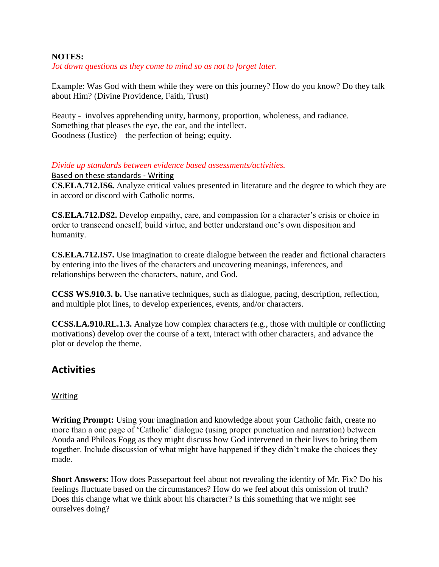### **NOTES:**

*Jot down questions as they come to mind so as not to forget later.*

Example: Was God with them while they were on this journey? How do you know? Do they talk about Him? (Divine Providence, Faith, Trust)

Beauty - involves apprehending unity, harmony, proportion, wholeness, and radiance. Something that pleases the eye, the ear, and the intellect. Goodness (Justice) – the perfection of being; equity.

### *Divide up standards between evidence based assessments/activities.*

Based on these standards - Writing

**CS.ELA.712.IS6.** Analyze critical values presented in literature and the degree to which they are in accord or discord with Catholic norms.

**CS.ELA.712.DS2.** Develop empathy, care, and compassion for a character's crisis or choice in order to transcend oneself, build virtue, and better understand one's own disposition and humanity.

**CS.ELA.712.IS7.** Use imagination to create dialogue between the reader and fictional characters by entering into the lives of the characters and uncovering meanings, inferences, and relationships between the characters, nature, and God.

**CCSS WS.910.3. b.** Use narrative techniques, such as dialogue, pacing, description, reflection, and multiple plot lines, to develop experiences, events, and/or characters.

**CCSS.LA.910.RL.1.3.** Analyze how complex characters (e.g., those with multiple or conflicting motivations) develop over the course of a text, interact with other characters, and advance the plot or develop the theme.

## **Activities**

## Writing

**Writing Prompt:** Using your imagination and knowledge about your Catholic faith, create no more than a one page of 'Catholic' dialogue (using proper punctuation and narration) between Aouda and Phileas Fogg as they might discuss how God intervened in their lives to bring them together. Include discussion of what might have happened if they didn't make the choices they made.

**Short Answers:** How does Passepartout feel about not revealing the identity of Mr. Fix? Do his feelings fluctuate based on the circumstances? How do we feel about this omission of truth? Does this change what we think about his character? Is this something that we might see ourselves doing?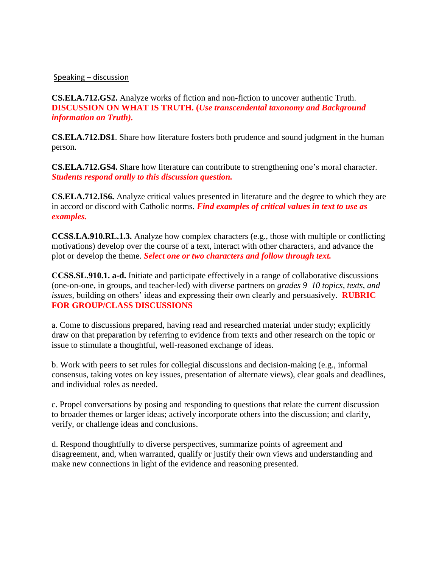#### Speaking – discussion

**CS.ELA.712.GS2.** Analyze works of fiction and non-fiction to uncover authentic Truth. **DISCUSSION ON WHAT IS TRUTH. (***Use transcendental taxonomy and Background information on Truth).*

**CS.ELA.712.DS1**. Share how literature fosters both prudence and sound judgment in the human person.

**CS.ELA.712.GS4.** Share how literature can contribute to strengthening one's moral character. *Students respond orally to this discussion question.*

**CS.ELA.712.IS6.** Analyze critical values presented in literature and the degree to which they are in accord or discord with Catholic norms. *Find examples of critical values in text to use as examples.*

**CCSS.LA.910.RL.1.3.** Analyze how complex characters (e.g., those with multiple or conflicting motivations) develop over the course of a text, interact with other characters, and advance the plot or develop the theme. *Select one or two characters and follow through text.*

**CCSS.SL.910.1. a-d.** Initiate and participate effectively in a range of collaborative discussions (one-on-one, in groups, and teacher-led) with diverse partners on *grades 9–10 topics, texts, and issues,* building on others' ideas and expressing their own clearly and persuasively. **RUBRIC FOR GROUP/CLASS DISCUSSIONS**

a. Come to discussions prepared, having read and researched material under study; explicitly draw on that preparation by referring to evidence from texts and other research on the topic or issue to stimulate a thoughtful, well-reasoned exchange of ideas.

b. Work with peers to set rules for collegial discussions and decision-making (e.g., informal consensus, taking votes on key issues, presentation of alternate views), clear goals and deadlines, and individual roles as needed.

c. Propel conversations by posing and responding to questions that relate the current discussion to broader themes or larger ideas; actively incorporate others into the discussion; and clarify, verify, or challenge ideas and conclusions.

d. Respond thoughtfully to diverse perspectives, summarize points of agreement and disagreement, and, when warranted, qualify or justify their own views and understanding and make new connections in light of the evidence and reasoning presented.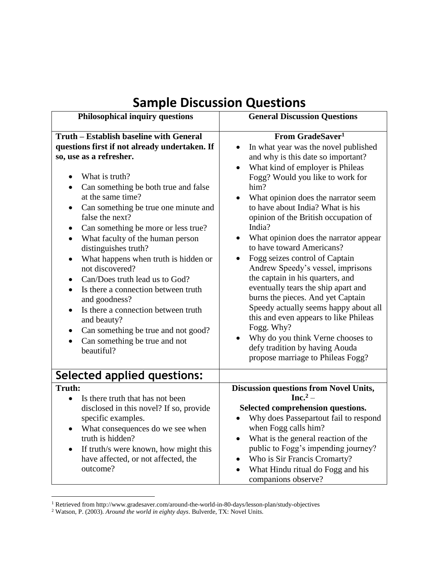| SAIIINIC DISCUSSIOII QUESTIOIIS                                                                                                                                                                                                                                                                                                                                                                                                                                                                                                                                                                                                                                                |                                                                                                                                                                                                                                                                                                                                                                                                                                                                                                                                                                                                                                                                                                                                                                                                            |  |  |  |  |  |  |
|--------------------------------------------------------------------------------------------------------------------------------------------------------------------------------------------------------------------------------------------------------------------------------------------------------------------------------------------------------------------------------------------------------------------------------------------------------------------------------------------------------------------------------------------------------------------------------------------------------------------------------------------------------------------------------|------------------------------------------------------------------------------------------------------------------------------------------------------------------------------------------------------------------------------------------------------------------------------------------------------------------------------------------------------------------------------------------------------------------------------------------------------------------------------------------------------------------------------------------------------------------------------------------------------------------------------------------------------------------------------------------------------------------------------------------------------------------------------------------------------------|--|--|--|--|--|--|
| <b>Philosophical inquiry questions</b>                                                                                                                                                                                                                                                                                                                                                                                                                                                                                                                                                                                                                                         | <b>General Discussion Questions</b>                                                                                                                                                                                                                                                                                                                                                                                                                                                                                                                                                                                                                                                                                                                                                                        |  |  |  |  |  |  |
| Truth – Establish baseline with General<br>questions first if not already undertaken. If<br>so, use as a refresher.<br>What is truth?<br>Can something be both true and false<br>at the same time?<br>Can something be true one minute and<br>false the next?<br>Can something be more or less true?<br>What faculty of the human person<br>distinguishes truth?<br>What happens when truth is hidden or<br>not discovered?<br>Can/Does truth lead us to God?<br>Is there a connection between truth<br>and goodness?<br>Is there a connection between truth<br>and beauty?<br>Can something be true and not good?<br>$\bullet$<br>Can something be true and not<br>beautiful? | From GradeSaver <sup>1</sup><br>In what year was the novel published<br>and why is this date so important?<br>What kind of employer is Phileas<br>٠<br>Fogg? Would you like to work for<br>him?<br>What opinion does the narrator seem<br>to have about India? What is his<br>opinion of the British occupation of<br>India?<br>What opinion does the narrator appear<br>٠<br>to have toward Americans?<br>Fogg seizes control of Captain<br>Andrew Speedy's vessel, imprisons<br>the captain in his quarters, and<br>eventually tears the ship apart and<br>burns the pieces. And yet Captain<br>Speedy actually seems happy about all<br>this and even appears to like Phileas<br>Fogg. Why?<br>Why do you think Verne chooses to<br>defy tradition by having Aouda<br>propose marriage to Phileas Fogg? |  |  |  |  |  |  |
| Selected applied questions:                                                                                                                                                                                                                                                                                                                                                                                                                                                                                                                                                                                                                                                    |                                                                                                                                                                                                                                                                                                                                                                                                                                                                                                                                                                                                                                                                                                                                                                                                            |  |  |  |  |  |  |
| Truth:<br>Is there truth that has not been<br>disclosed in this novel? If so, provide<br>specific examples.<br>What consequences do we see when<br>truth is hidden?<br>If truth/s were known, how might this<br>$\bullet$<br>have affected, or not affected, the<br>outcome?                                                                                                                                                                                                                                                                                                                                                                                                   | <b>Discussion questions from Novel Units,</b><br>$Inc.2$ –<br>Selected comprehension questions.<br>Why does Passepartout fail to respond<br>when Fogg calls him?<br>What is the general reaction of the<br>public to Fogg's impending journey?<br>Who is Sir Francis Cromarty?<br>What Hindu ritual do Fogg and his<br>companions observe?                                                                                                                                                                                                                                                                                                                                                                                                                                                                 |  |  |  |  |  |  |

## **Sample Discussion Questions**

 $\overline{a}$ 

<sup>1</sup> Retrieved from http://www.gradesaver.com/around-the-world-in-80-days/lesson-plan/study-objectives

<sup>2</sup> Watson, P. (2003). *Around the world in eighty days*. Bulverde, TX: Novel Units.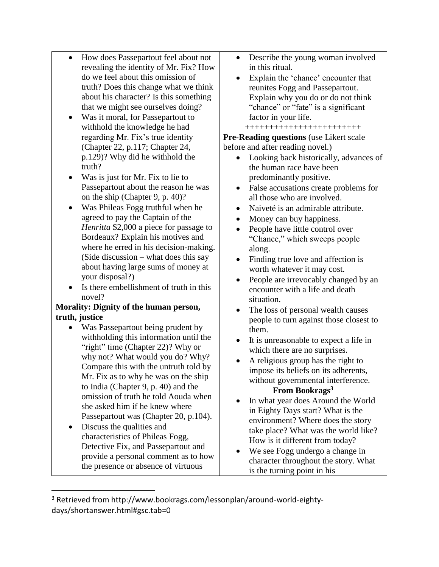- How does Passepartout feel about not revealing the identity of Mr. Fix? How do we feel about this omission of truth? Does this change what we think about his character? Is this something that we might see ourselves doing?
- Was it moral, for Passepartout to withhold the knowledge he had regarding Mr. Fix's true identity (Chapter 22, p.117; Chapter 24, p.129)? Why did he withhold the truth?
- Was is just for Mr. Fix to lie to Passepartout about the reason he was on the ship (Chapter 9, p. 40)?
- Was Phileas Fogg truthful when he agreed to pay the Captain of the *Henritta* \$2,000 a piece for passage to Bordeaux? Explain his motives and where he erred in his decision-making. (Side discussion – what does this say about having large sums of money at your disposal?)
- Is there embellishment of truth in this novel?

## **Morality: Dignity of the human person, truth, justice**

- Was Passepartout being prudent by withholding this information until the "right" time (Chapter 22)? Why or why not? What would you do? Why? Compare this with the untruth told by Mr. Fix as to why he was on the ship to India (Chapter 9, p. 40) and the omission of truth he told Aouda when she asked him if he knew where Passepartout was (Chapter 20, p.104).
- Discuss the qualities and characteristics of Phileas Fogg, Detective Fix, and Passepartout and provide a personal comment as to how the presence or absence of virtuous

 $\overline{a}$ 

- Describe the young woman involved in this ritual.
- Explain the 'chance' encounter that reunites Fogg and Passepartout. Explain why you do or do not think "chance" or "fate" is a significant factor in your life.

++++++++++++++++++++++++ **Pre-Reading questions** (use Likert scale

before and after reading novel.)

- Looking back historically, advances of the human race have been predominantly positive.
- False accusations create problems for all those who are involved.
- Naiveté is an admirable attribute.
- Money can buy happiness.
- People have little control over "Chance," which sweeps people along.
- Finding true love and affection is worth whatever it may cost.
- People are irrevocably changed by an encounter with a life and death situation.
- The loss of personal wealth causes people to turn against those closest to them.
- It is unreasonable to expect a life in which there are no surprises.
- A religious group has the right to impose its beliefs on its adherents, without governmental interference. **From Bookrags<sup>3</sup>**
- In what year does Around the World in Eighty Days start? What is the environment? Where does the story take place? What was the world like? How is it different from today?
- We see Fogg undergo a change in character throughout the story. What is the turning point in his

<sup>3</sup> Retrieved from http://www.bookrags.com/lessonplan/around-world-eightydays/shortanswer.html#gsc.tab=0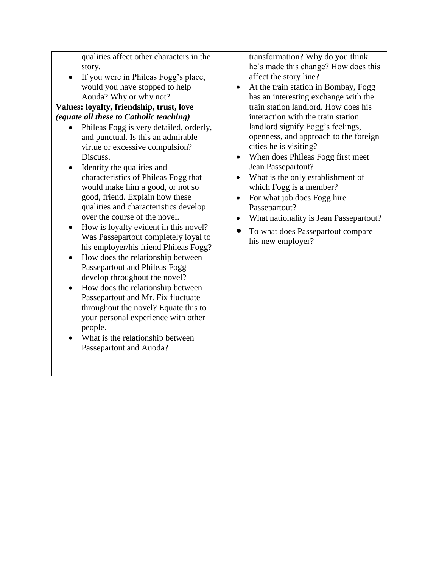qualities affect other characters in the story.

 If you were in Phileas Fogg's place, would you have stopped to help Aouda? Why or why not?

**Values: loyalty, friendship, trust, love** *(equate all these to Catholic teaching)*

- Phileas Fogg is very detailed, orderly, and punctual. Is this an admirable virtue or excessive compulsion? Discuss.
- Identify the qualities and characteristics of Phileas Fogg that would make him a good, or not so good, friend. Explain how these qualities and characteristics develop over the course of the novel.
- How is loyalty evident in this novel? Was Passepartout completely loyal to his employer/his friend Phileas Fogg?
- How does the relationship between Passepartout and Phileas Fogg develop throughout the novel?
- How does the relationship between Passepartout and Mr. Fix fluctuate throughout the novel? Equate this to your personal experience with other people.
- What is the relationship between Passepartout and Auoda?

transformation? Why do you think he's made this change? How does this affect the story line?

- At the train station in Bombay, Fogg has an interesting exchange with the train station landlord. How does his interaction with the train station landlord signify Fogg's feelings, openness, and approach to the foreign cities he is visiting?
- When does Phileas Fogg first meet Jean Passepartout?
- What is the only establishment of which Fogg is a member?
- For what job does Fogg hire Passepartout?
- What nationality is Jean Passepartout?
- To what does Passepartout compare his new employer?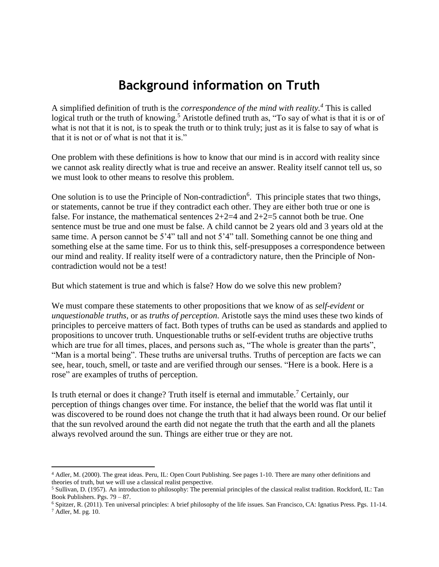## **Background information on Truth**

A simplified definition of truth is the *correspondence of the mind with reality.<sup>4</sup>* This is called logical truth or the truth of knowing.<sup>5</sup> Aristotle defined truth as, "To say of what is that it is or of what is not that it is not, is to speak the truth or to think truly; just as it is false to say of what is that it is not or of what is not that it is."

One problem with these definitions is how to know that our mind is in accord with reality since we cannot ask reality directly what is true and receive an answer. Reality itself cannot tell us, so we must look to other means to resolve this problem.

One solution is to use the Principle of Non-contradiction<sup>6</sup>. This principle states that two things, or statements, cannot be true if they contradict each other. They are either both true or one is false. For instance, the mathematical sentences  $2+2=4$  and  $2+2=5$  cannot both be true. One sentence must be true and one must be false. A child cannot be 2 years old and 3 years old at the same time. A person cannot be 5'4" tall and not 5'4" tall. Something cannot be one thing and something else at the same time. For us to think this, self-presupposes a correspondence between our mind and reality. If reality itself were of a contradictory nature, then the Principle of Noncontradiction would not be a test!

But which statement is true and which is false? How do we solve this new problem?

We must compare these statements to other propositions that we know of as *self-evident* or *unquestionable truths,* or as *truths of perception*. Aristotle says the mind uses these two kinds of principles to perceive matters of fact. Both types of truths can be used as standards and applied to propositions to uncover truth. Unquestionable truths or self-evident truths are objective truths which are true for all times, places, and persons such as, "The whole is greater than the parts", "Man is a mortal being". These truths are universal truths. Truths of perception are facts we can see, hear, touch, smell, or taste and are verified through our senses. "Here is a book. Here is a rose" are examples of truths of perception.

Is truth eternal or does it change? Truth itself is eternal and immutable.<sup>7</sup> Certainly, our perception of things changes over time. For instance, the belief that the world was flat until it was discovered to be round does not change the truth that it had always been round. Or our belief that the sun revolved around the earth did not negate the truth that the earth and all the planets always revolved around the sun. Things are either true or they are not.

 $\overline{a}$ 

<sup>4</sup> Adler, M. (2000). The great ideas. Peru, IL: Open Court Publishing. See pages 1-10. There are many other definitions and theories of truth, but we will use a classical realist perspective.

<sup>5</sup> Sullivan, D. (1957). An introduction to philosophy: The perennial principles of the classical realist tradition. Rockford, IL: Tan Book Publishers. Pgs. 79 – 87.

<sup>6</sup> Spitzer, R. (2011). Ten universal principles: A brief philosophy of the life issues. San Francisco, CA: Ignatius Press. Pgs. 11-14.

 $^7$  Adler, M. pg. 10.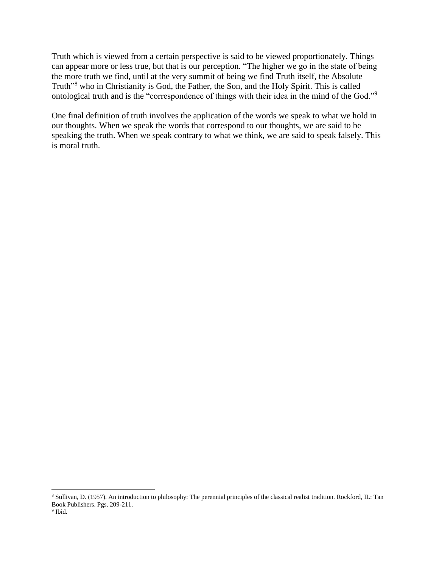Truth which is viewed from a certain perspective is said to be viewed proportionately. Things can appear more or less true, but that is our perception. "The higher we go in the state of being the more truth we find, until at the very summit of being we find Truth itself, the Absolute Truth"<sup>8</sup> who in Christianity is God, the Father, the Son, and the Holy Spirit. This is called ontological truth and is the "correspondence of things with their idea in the mind of the God."<sup>9</sup>

One final definition of truth involves the application of the words we speak to what we hold in our thoughts. When we speak the words that correspond to our thoughts, we are said to be speaking the truth. When we speak contrary to what we think, we are said to speak falsely. This is moral truth.

 $\overline{a}$ 

<sup>8</sup> Sullivan, D. (1957). An introduction to philosophy: The perennial principles of the classical realist tradition. Rockford, IL: Tan Book Publishers. Pgs. 209-211.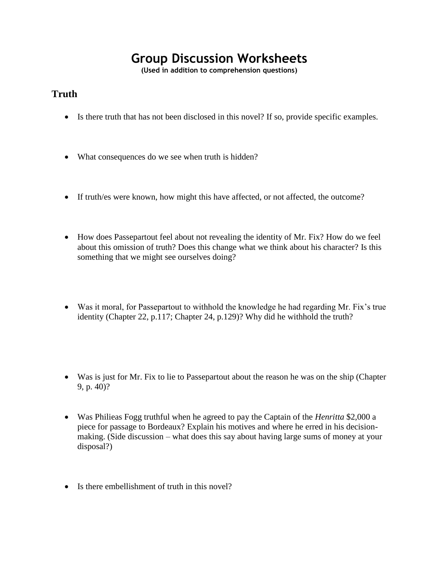## **Group Discussion Worksheets**

**(Used in addition to comprehension questions)**

## **Truth**

- Is there truth that has not been disclosed in this novel? If so, provide specific examples.
- What consequences do we see when truth is hidden?
- If truth/es were known, how might this have affected, or not affected, the outcome?
- How does Passepartout feel about not revealing the identity of Mr. Fix? How do we feel about this omission of truth? Does this change what we think about his character? Is this something that we might see ourselves doing?
- Was it moral, for Passepartout to withhold the knowledge he had regarding Mr. Fix's true identity (Chapter 22, p.117; Chapter 24, p.129)? Why did he withhold the truth?
- Was is just for Mr. Fix to lie to Passepartout about the reason he was on the ship (Chapter 9, p. 40)?
- Was Philieas Fogg truthful when he agreed to pay the Captain of the *Henritta* \$2,000 a piece for passage to Bordeaux? Explain his motives and where he erred in his decisionmaking. (Side discussion – what does this say about having large sums of money at your disposal?)
- Is there embellishment of truth in this novel?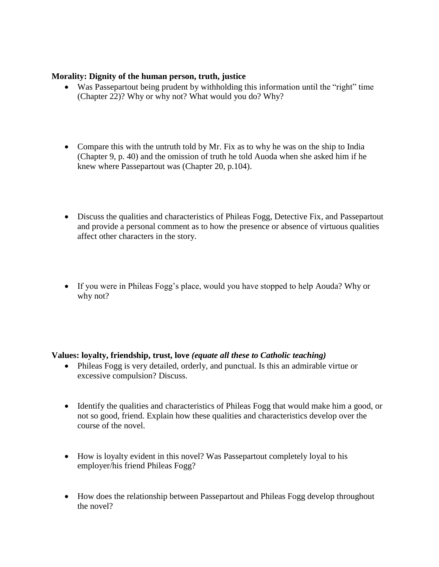### **Morality: Dignity of the human person, truth, justice**

- Was Passepartout being prudent by withholding this information until the "right" time (Chapter 22)? Why or why not? What would you do? Why?
- Compare this with the untruth told by Mr. Fix as to why he was on the ship to India (Chapter 9, p. 40) and the omission of truth he told Auoda when she asked him if he knew where Passepartout was (Chapter 20, p.104).
- Discuss the qualities and characteristics of Phileas Fogg, Detective Fix, and Passepartout and provide a personal comment as to how the presence or absence of virtuous qualities affect other characters in the story.
- If you were in Phileas Fogg's place, would you have stopped to help Aouda? Why or why not?

### **Values: loyalty, friendship, trust, love** *(equate all these to Catholic teaching)*

- Phileas Fogg is very detailed, orderly, and punctual. Is this an admirable virtue or excessive compulsion? Discuss.
- Identify the qualities and characteristics of Phileas Fogg that would make him a good, or not so good, friend. Explain how these qualities and characteristics develop over the course of the novel.
- How is loyalty evident in this novel? Was Passepartout completely loyal to his employer/his friend Phileas Fogg?
- How does the relationship between Passepartout and Phileas Fogg develop throughout the novel?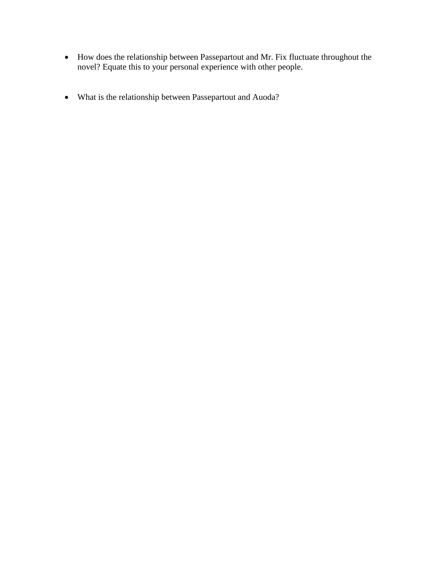- How does the relationship between Passepartout and Mr. Fix fluctuate throughout the novel? Equate this to your personal experience with other people.
- What is the relationship between Passepartout and Auoda?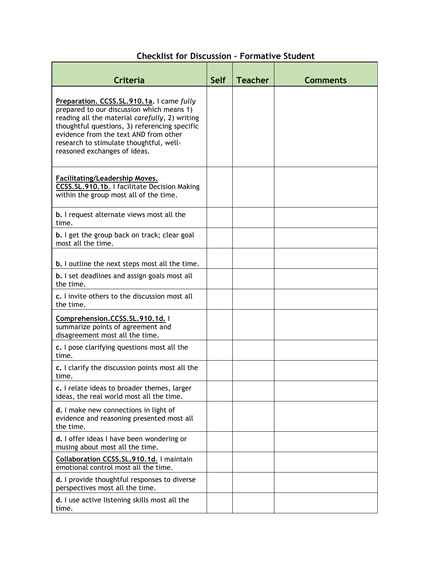## **Checklist for Discussion – Formative Student**

| <b>Criteria</b>                                                                                                                                                                                                                                                                                               | <b>Self</b> | <b>Teacher</b> | <b>Comments</b> |
|---------------------------------------------------------------------------------------------------------------------------------------------------------------------------------------------------------------------------------------------------------------------------------------------------------------|-------------|----------------|-----------------|
| Preparation. CCSS.SL.910.1a. I came fully<br>prepared to our discussion which means 1)<br>reading all the material carefully, 2) writing<br>thoughtful questions, 3) referencing specific<br>evidence from the text AND from other<br>research to stimulate thoughtful, well-<br>reasoned exchanges of ideas. |             |                |                 |
| <b>Facilitating/Leadership Moves.</b><br>CCSS.SL.910.1b. I facilitate Decision Making<br>within the group most all of the time.                                                                                                                                                                               |             |                |                 |
| <b>b.</b> I request alternate views most all the<br>time.                                                                                                                                                                                                                                                     |             |                |                 |
| b. I get the group back on track; clear goal<br>most all the time.                                                                                                                                                                                                                                            |             |                |                 |
| <b>b.</b> I outline the next steps most all the time.                                                                                                                                                                                                                                                         |             |                |                 |
| <b>b.</b> I set deadlines and assign goals most all<br>the time.                                                                                                                                                                                                                                              |             |                |                 |
| c. I invite others to the discussion most all<br>the time.                                                                                                                                                                                                                                                    |             |                |                 |
| Comprehension.CCSS.SL.910.1d. I<br>summarize points of agreement and<br>disagreement most all the time.                                                                                                                                                                                                       |             |                |                 |
| c. I pose clarifying questions most all the<br>time.                                                                                                                                                                                                                                                          |             |                |                 |
| c. I clarify the discussion points most all the<br>time.                                                                                                                                                                                                                                                      |             |                |                 |
| c. I relate ideas to broader themes, larger<br>ideas, the real world most all the time.                                                                                                                                                                                                                       |             |                |                 |
| d. I make new connections in light of<br>evidence and reasoning presented most all<br>the time.                                                                                                                                                                                                               |             |                |                 |
| d. I offer ideas I have been wondering or<br>musing about most all the time.                                                                                                                                                                                                                                  |             |                |                 |
| Collaboration CCSS.SL.910.1d.   maintain<br>emotional control most all the time.                                                                                                                                                                                                                              |             |                |                 |
| d. I provide thoughtful responses to diverse<br>perspectives most all the time.                                                                                                                                                                                                                               |             |                |                 |
| <b>d.</b> I use active listening skills most all the<br>time.                                                                                                                                                                                                                                                 |             |                |                 |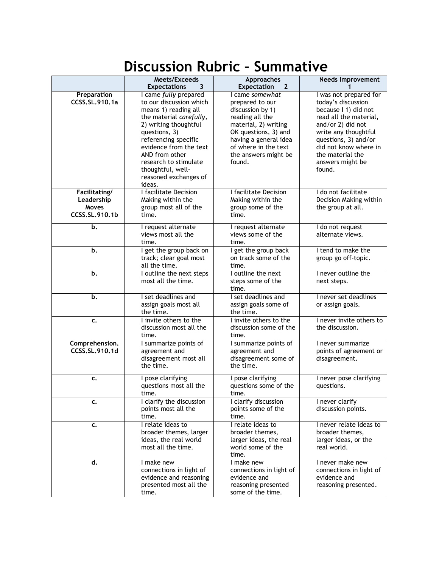## **Discussion Rubric – Summative**

|                                                        | Meets/Exceeds                                                                                                                                                                                                                                                                                      | <b>Approaches</b>                                                                                                                                                                                            | <b>Needs Improvement</b>                                                                                                                                                                                                                       |  |  |  |
|--------------------------------------------------------|----------------------------------------------------------------------------------------------------------------------------------------------------------------------------------------------------------------------------------------------------------------------------------------------------|--------------------------------------------------------------------------------------------------------------------------------------------------------------------------------------------------------------|------------------------------------------------------------------------------------------------------------------------------------------------------------------------------------------------------------------------------------------------|--|--|--|
|                                                        | <b>Expectations</b><br>3                                                                                                                                                                                                                                                                           | <b>Expectation</b><br>$\mathbf{2}$                                                                                                                                                                           |                                                                                                                                                                                                                                                |  |  |  |
| Preparation<br>CCSS.SL.910.1a                          | I came fully prepared<br>to our discussion which<br>means 1) reading all<br>the material carefully,<br>2) writing thoughtful<br>questions, 3)<br>referencing specific<br>evidence from the text<br>AND from other<br>research to stimulate<br>thoughtful, well-<br>reasoned exchanges of<br>ideas. | I came somewhat<br>prepared to our<br>discussion by 1)<br>reading all the<br>material, 2) writing<br>OK questions, 3) and<br>having a general idea<br>of where in the text<br>the answers might be<br>found. | I was not prepared for<br>today's discussion<br>because I 1) did not<br>read all the material,<br>and/or 2) did not<br>write any thoughtful<br>questions, 3) and/or<br>did not know where in<br>the material the<br>answers might be<br>found. |  |  |  |
| Facilitating/<br>Leadership<br>Moves<br>CCSS.SL.910.1b | I facilitate Decision<br>Making within the<br>group most all of the<br>time.                                                                                                                                                                                                                       | I facilitate Decision<br>Making within the<br>group some of the<br>time.                                                                                                                                     | I do not facilitate<br>Decision Making within<br>the group at all.                                                                                                                                                                             |  |  |  |
| b.                                                     | I request alternate<br>views most all the<br>time.                                                                                                                                                                                                                                                 | I request alternate<br>views some of the<br>time.                                                                                                                                                            | I do not request<br>alternate views.                                                                                                                                                                                                           |  |  |  |
| b.                                                     | I get the group back on<br>track; clear goal most<br>all the time.                                                                                                                                                                                                                                 | I get the group back<br>on track some of the<br>time.                                                                                                                                                        | I tend to make the<br>group go off-topic.                                                                                                                                                                                                      |  |  |  |
| b.                                                     | I outline the next steps<br>most all the time.                                                                                                                                                                                                                                                     | I outline the next<br>steps some of the<br>time.                                                                                                                                                             | I never outline the<br>next steps.                                                                                                                                                                                                             |  |  |  |
| b.                                                     | I set deadlines and<br>assign goals most all<br>the time.                                                                                                                                                                                                                                          | I set deadlines and<br>assign goals some of<br>the time.                                                                                                                                                     | I never set deadlines<br>or assign goals.                                                                                                                                                                                                      |  |  |  |
| c.                                                     | I invite others to the<br>discussion most all the<br>time.                                                                                                                                                                                                                                         | I invite others to the<br>discussion some of the<br>time.                                                                                                                                                    | I never invite others to<br>the discussion.                                                                                                                                                                                                    |  |  |  |
| Comprehension.<br>CCSS.SL.910.1d                       | I summarize points of<br>agreement and<br>disagreement most all<br>the time.                                                                                                                                                                                                                       | I summarize points of<br>agreement and<br>disagreement some of<br>the time.                                                                                                                                  | I never summarize<br>points of agreement or<br>disagreement.                                                                                                                                                                                   |  |  |  |
| c.                                                     | I pose clarifying<br>questions most all the<br>time.                                                                                                                                                                                                                                               | I pose clarifying<br>questions some of the<br>time.                                                                                                                                                          | I never pose clarifying<br>questions.                                                                                                                                                                                                          |  |  |  |
| c.                                                     | I clarify the discussion<br>points most all the<br>time.                                                                                                                                                                                                                                           | I clarify discussion<br>points some of the<br>time.                                                                                                                                                          | I never clarify<br>discussion points.                                                                                                                                                                                                          |  |  |  |
| c.                                                     | I relate ideas to<br>broader themes, larger<br>ideas, the real world<br>most all the time.                                                                                                                                                                                                         | I relate ideas to<br>broader themes,<br>larger ideas, the real<br>world some of the<br>time.                                                                                                                 | I never relate ideas to<br>broader themes,<br>larger ideas, or the<br>real world.                                                                                                                                                              |  |  |  |
| d.                                                     | I make new<br>connections in light of<br>evidence and reasoning<br>presented most all the<br>time.                                                                                                                                                                                                 | I make new<br>connections in light of<br>evidence and<br>reasoning presented<br>some of the time.                                                                                                            | I never make new<br>connections in light of<br>evidence and<br>reasoning presented.                                                                                                                                                            |  |  |  |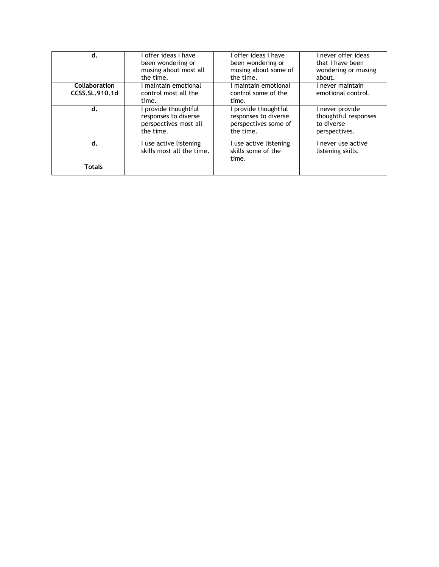| d.                                     | offer ideas I have<br>been wondering or<br>musing about most all<br>the time.      | offer ideas I have<br>been wondering or<br>musing about some of<br>the time.    | never offer ideas<br>that I have been<br>wondering or musing<br>about. |
|----------------------------------------|------------------------------------------------------------------------------------|---------------------------------------------------------------------------------|------------------------------------------------------------------------|
| <b>Collaboration</b><br>CCSS.SL.910.1d | maintain emotional<br>control most all the<br>time.                                | maintain emotional<br>control some of the<br>time.                              | I never maintain<br>emotional control.                                 |
| d.                                     | I provide thoughtful<br>responses to diverse<br>perspectives most all<br>the time. | provide thoughtful<br>responses to diverse<br>perspectives some of<br>the time. | never provide<br>thoughtful responses<br>to diverse<br>perspectives.   |
| d.                                     | use active listening<br>skills most all the time.                                  | use active listening<br>skills some of the<br>time.                             | never use active<br>listening skills.                                  |
| <b>Totals</b>                          |                                                                                    |                                                                                 |                                                                        |